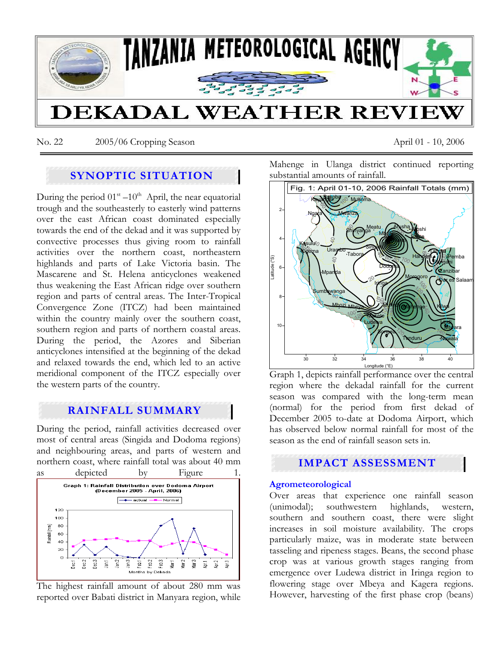

No. 22 2005/06 Cropping Season April 01 - 10, 2006

# **SYNOPTIC SITUATION**

During the period  $01<sup>st</sup> - 10<sup>th</sup>$  April, the near equatorial trough and the southeasterly to easterly wind patterns over the east African coast dominated especially towards the end of the dekad and it was supported by convective processes thus giving room to rainfall activities over the northern coast, northeastern highlands and parts of Lake Victoria basin. The Mascarene and St. Helena anticyclones weakened thus weakening the East African ridge over southern region and parts of central areas. The Inter-Tropical Convergence Zone (ITCZ) had been maintained within the country mainly over the southern coast, southern region and parts of northern coastal areas. During the period, the Azores and Siberian anticyclones intensified at the beginning of the dekad and relaxed towards the end, which led to an active meridional component of the ITCZ especially over the western parts of the country.

## **RAINFALL SUMMARY**

During the period, rainfall activities decreased over most of central areas (Singida and Dodoma regions) and neighbouring areas, and parts of western and northern coast, where rainfall total was about 40 mm



The highest rainfall amount of about 280 mm was reported over Babati district in Manyara region, while Mahenge in Ulanga district continued reporting substantial amounts of rainfall.



Graph 1, depicts rainfall performance over the central region where the dekadal rainfall for the current season was compared with the long-term mean (normal) for the period from first dekad of December 2005 to-date at Dodoma Airport, which has observed below normal rainfall for most of the season as the end of rainfall season sets in.

# **IMPACT ASSESSMENT**

## **Agrometeorological**

Over areas that experience one rainfall season (unimodal); southwestern highlands, western, southern and southern coast, there were slight increases in soil moisture availability. The crops particularly maize, was in moderate state between tasseling and ripeness stages. Beans, the second phase crop was at various growth stages ranging from emergence over Ludewa district in Iringa region to flowering stage over Mbeya and Kagera regions. However, harvesting of the first phase crop (beans)